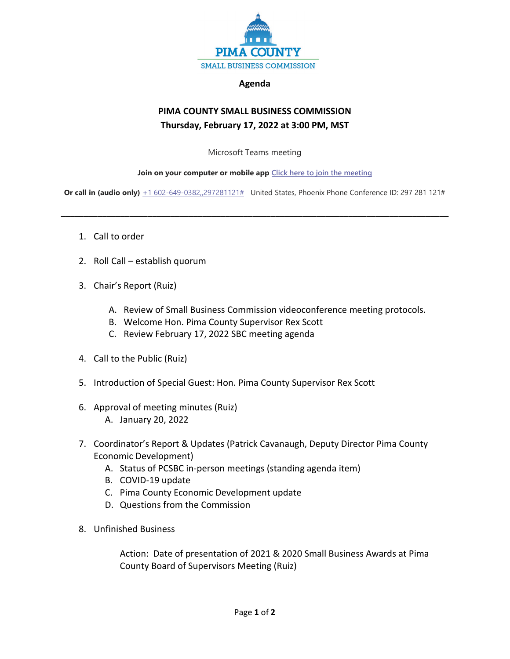

## **Agenda**

## **PIMA COUNTY SMALL BUSINESS COMMISSION Thursday, February 17, 2022 at 3:00 PM, MST**

Microsoft Teams meeting

## **Join on your computer or mobile app [Click here to join the meeting](https://teams.microsoft.com/l/meetup-join/19%3ameeting_NjRjNTkzMzctMjc1OS00MjNjLTgzM2MtMGZmMWViZmFjYTYw%40thread.v2/0?context=%7b%22Tid%22%3a%2233b6e2c3-0b1a-4879-b741-47461a6c1a89%22%2c%22Oid%22%3a%22c8e42fc0-da56-4d64-b5c6-6be70931590e%22%7d)**

**Or call in (audio only)**  $+1\,602-649-0382$ ,,297281121# United States, Phoenix Phone Conference ID: 297 281 121#

**\_\_\_\_\_\_\_\_\_\_\_\_\_\_\_\_\_\_\_\_\_\_\_\_\_\_\_\_\_\_\_\_\_\_\_\_\_\_\_\_\_\_\_\_\_\_\_\_\_\_\_\_\_\_\_\_\_\_\_\_\_\_\_\_\_\_\_\_\_\_\_\_\_\_\_\_\_\_\_\_\_\_\_\_\_**

- 1. Call to order
- 2. Roll Call establish quorum
- 3. Chair's Report (Ruiz)
	- A. Review of Small Business Commission videoconference meeting protocols.
	- B. Welcome Hon. Pima County Supervisor Rex Scott
	- C. Review February 17, 2022 SBC meeting agenda
- 4. Call to the Public (Ruiz)
- 5. Introduction of Special Guest: Hon. Pima County Supervisor Rex Scott
- 6. Approval of meeting minutes (Ruiz) A. January 20, 2022
- 7. Coordinator's Report & Updates (Patrick Cavanaugh, Deputy Director Pima County Economic Development)
	- A. Status of PCSBC in-person meetings (standing agenda item)
	- B. COVID-19 update
	- C. Pima County Economic Development update
	- D. Questions from the Commission
- 8. Unfinished Business

Action: Date of presentation of 2021 & 2020 Small Business Awards at Pima County Board of Supervisors Meeting (Ruiz)